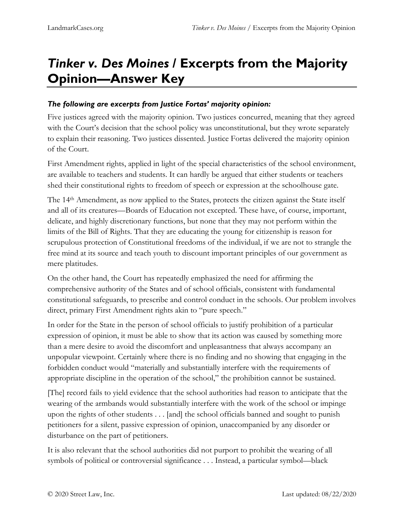## *Tinker v. Des Moines* **/ Excerpts from the Majority Opinion—Answer Key**

## *The following are excerpts from Justice Fortas' majority opinion:*

Five justices agreed with the majority opinion. Two justices concurred, meaning that they agreed with the Court's decision that the school policy was unconstitutional, but they wrote separately to explain their reasoning. Two justices dissented. Justice Fortas delivered the majority opinion of the Court.

First Amendment rights, applied in light of the special characteristics of the school environment, are available to teachers and students. It can hardly be argued that either students or teachers shed their constitutional rights to freedom of speech or expression at the schoolhouse gate.

The 14th Amendment, as now applied to the States, protects the citizen against the State itself and all of its creatures—Boards of Education not excepted. These have, of course, important, delicate, and highly discretionary functions, but none that they may not perform within the limits of the Bill of Rights. That they are educating the young for citizenship is reason for scrupulous protection of Constitutional freedoms of the individual, if we are not to strangle the free mind at its source and teach youth to discount important principles of our government as mere platitudes.

On the other hand, the Court has repeatedly emphasized the need for affirming the comprehensive authority of the States and of school officials, consistent with fundamental constitutional safeguards, to prescribe and control conduct in the schools. Our problem involves direct, primary First Amendment rights akin to "pure speech."

In order for the State in the person of school officials to justify prohibition of a particular expression of opinion, it must be able to show that its action was caused by something more than a mere desire to avoid the discomfort and unpleasantness that always accompany an unpopular viewpoint. Certainly where there is no finding and no showing that engaging in the forbidden conduct would "materially and substantially interfere with the requirements of appropriate discipline in the operation of the school," the prohibition cannot be sustained.

[The] record fails to yield evidence that the school authorities had reason to anticipate that the wearing of the armbands would substantially interfere with the work of the school or impinge upon the rights of other students . . . [and] the school officials banned and sought to punish petitioners for a silent, passive expression of opinion, unaccompanied by any disorder or disturbance on the part of petitioners.

It is also relevant that the school authorities did not purport to prohibit the wearing of all symbols of political or controversial significance . . . Instead, a particular symbol—black